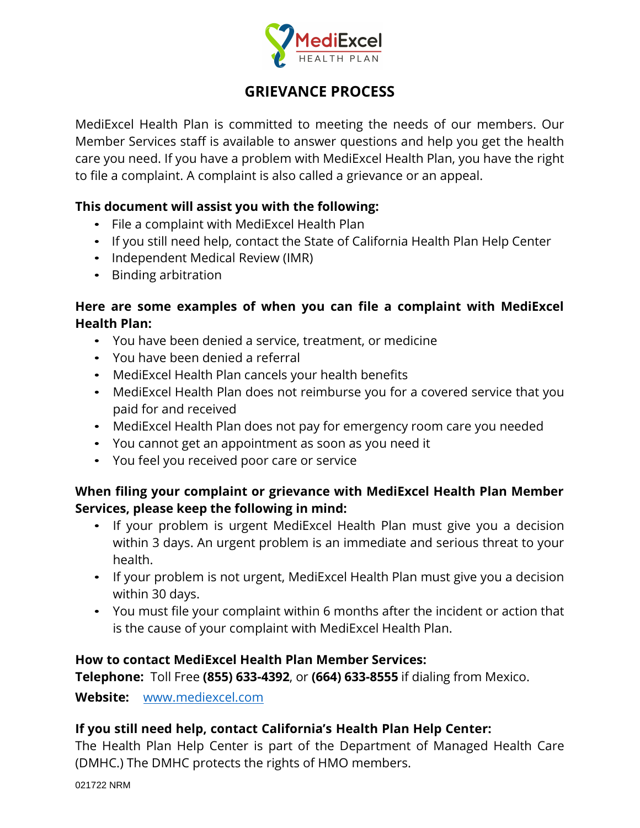

# **GRIEVANCE PROCESS**

MediExcel Health Plan is committed to meeting the needs of our members. Our Member Services staff is available to answer questions and help you get the health care you need. If you have a problem with MediExcel Health Plan, you have the right to file a complaint. A complaint is also called a grievance or an appeal.

#### **This document will assist you with the following:**

- File a complaint with MediExcel Health Plan
- If you still need help, contact the State of California Health Plan Help Center
- Independent Medical Review (IMR)
- Binding arbitration

# **Here are some examples of when you can file a complaint with MediExcel Health Plan:**

- You have been denied a service, treatment, or medicine
- You have been denied a referral
- MediExcel Health Plan cancels your health benefits
- MediExcel Health Plan does not reimburse you for a covered service that you paid for and received
- MediExcel Health Plan does not pay for emergency room care you needed
- You cannot get an appointment as soon as you need it
- You feel you received poor care or service

# **When filing your complaint or grievance with MediExcel Health Plan Member Services, please keep the following in mind:**

- If your problem is urgent MediExcel Health Plan must give you a decision within 3 days. An urgent problem is an immediate and serious threat to your health.
- If your problem is not urgent, MediExcel Health Plan must give you a decision within 30 days.
- You must file your complaint within 6 months after the incident or action that is the cause of your complaint with MediExcel Health Plan.

### **How to contact MediExcel Health Plan Member Services:**

**Telephone:** Toll Free **(855) 633-4392**, or **(664) 633-8555** if dialing from Mexico.

**Website:** www.mediexcel.com

### **If you still need help, contact California's Health Plan Help Center:**

The Health Plan Help Center is part of the Department of Managed Health Care (DMHC.) The DMHC protects the rights of HMO members.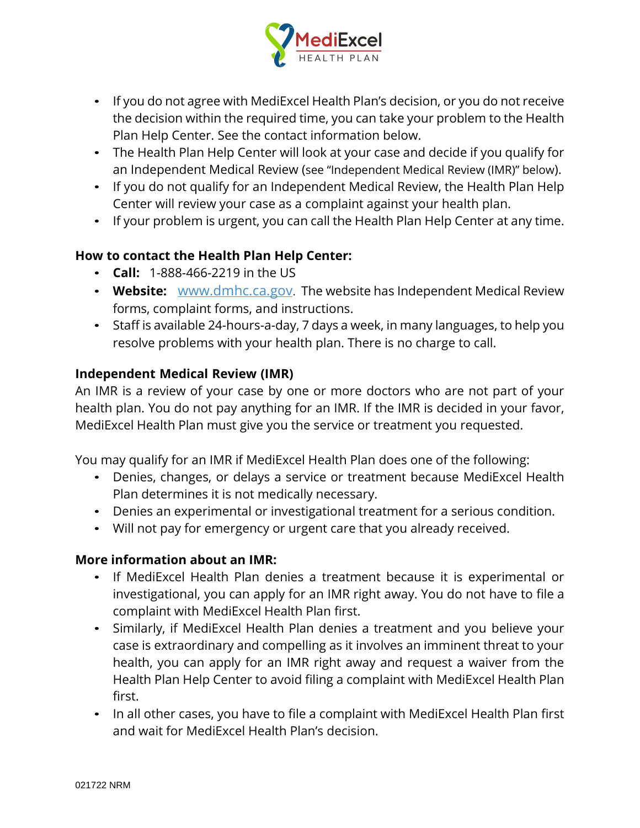

- If you do not agree with MediExcel Health Plan's decision, or you do not receive the decision within the required time, you can take your problem to the Health Plan Help Center. See the contact information below.
- The Health Plan Help Center will look at your case and decide if you qualify for an Independent Medical Review (see "Independent Medical Review (IMR)" below).
- If you do not qualify for an Independent Medical Review, the Health Plan Help Center will review your case as a complaint against your health plan.
- If your problem is urgent, you can call the Health Plan Help Center at any time.

# **How to contact the Health Plan Help Center:**

- **Call:** 1-888-466-2219 in the US
- **Website:** www.dmhc.ca.gov. The website has Independent Medical Review forms, complaint forms, and instructions.
- Staff is available 24-hours-a-day, 7 days a week, in many languages, to help you resolve problems with your health plan. There is no charge to call.

### **Independent Medical Review (IMR)**

An IMR is a review of your case by one or more doctors who are not part of your health plan. You do not pay anything for an IMR. If the IMR is decided in your favor, MediExcel Health Plan must give you the service or treatment you requested.

You may qualify for an IMR if MediExcel Health Plan does one of the following:

- Denies, changes, or delays a service or treatment because MediExcel Health Plan determines it is not medically necessary.
- Denies an experimental or investigational treatment for a serious condition.
- Will not pay for emergency or urgent care that you already received.

### **More information about an IMR:**

- If MediExcel Health Plan denies a treatment because it is experimental or investigational, you can apply for an IMR right away. You do not have to file a complaint with MediExcel Health Plan first.
- Similarly, if MediExcel Health Plan denies a treatment and you believe your case is extraordinary and compelling as it involves an imminent threat to your health, you can apply for an IMR right away and request a waiver from the Health Plan Help Center to avoid filing a complaint with MediExcel Health Plan first.
- In all other cases, you have to file a complaint with MediExcel Health Plan first and wait for MediExcel Health Plan's decision.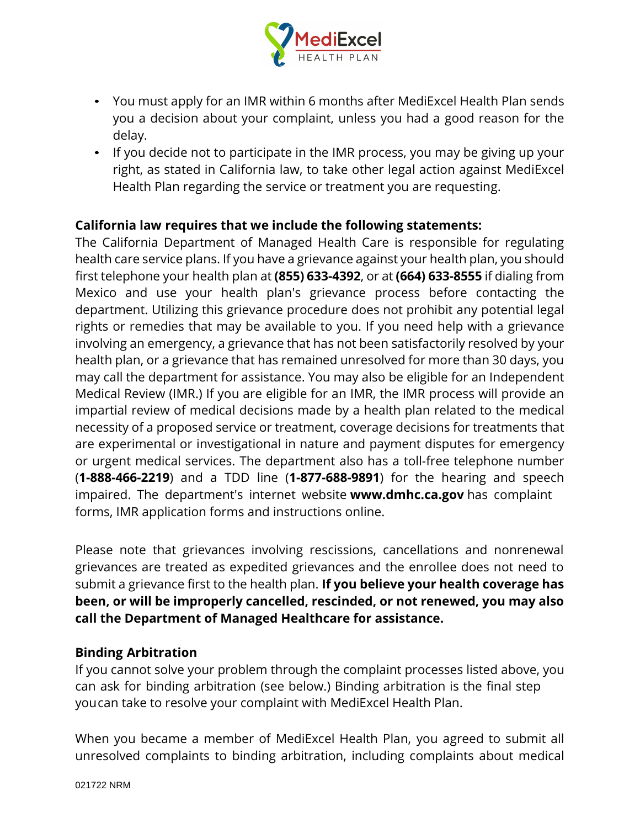

- You must apply for an IMR within 6 months after MediExcel Health Plan sends you a decision about your complaint, unless you had a good reason for the delay.
- If you decide not to participate in the IMR process, you may be giving up your right, as stated in California law, to take other legal action against MediExcel Health Plan regarding the service or treatment you are requesting. • If you decide not to participate in the IMR process, you may be giving right, as stated in California law, to take other legal action against N<br>Health Plan regarding the service or treatment you are requesting.<br>**Californ**

right, as stated in California law, to take other legal action against MediExcel<br>Health Plan regarding the service or treatment you are requesting.<br>**California law requires that we include the following statements:**<br>The Ca Health Plan regarding the service or treatment you are requesting.<br> **California law requires that we include the following statements:**<br>
The California Department of Managed Health Care is responsible for regulating<br>
healt **California law requires that we include the following statements:**<br>The California Department of Managed Health Care is responsible for regulating<br>health care service plans. If you have a grievance against your health plan **California law requires that we include the following statements:**<br>The California Department of Managed Health Care is responsible for regulating<br>health care service plans. If you have a grievance against your health plan The California Department of Managed Health Care is responsible for regulating<br>health care service plans. If you have a grievance against your health plan, you should<br>first telephone your health plan at (855) 633-4392, or health care service plans. If you have a grievance against your health plan, you should<br>first telephone your health plan at (855) 633-4392, or at (664) 633-8555 if dialing from<br>Mexico and use your health plan's grievance p first telephone your health plan at (855) 633-4392, or at (664) 633-8555 if dialing from<br>Mexico and use your health plan's grievance process before contacting the<br>department. Utilizing this grievance procedure does not pro Mexico and use your health plan's grievance process before contacting the<br>department. Utilizing this grievance procedure does not prohibit any potential legal<br>rights or remedies that may be available to you. If you need he department. Utilizing this grievance procedure does not prohibit any potential legal<br>rights or remedies that may be available to you. If you need help with a grievance<br>involving an emergency, a grievance that has not been rights or remedies that may be available to you. If you need help with a grievance<br>involving an emergency, a grievance that has not been satisfactorily resolved by your<br>health plan, or a grievance that has remained unresol involving an emergency, a grievance that has not been satisfactorily resolved by your<br>health plan, or a grievance that has remained unresolved for more than 30 days, you<br>may call the department for assistance. You may also health plan, or a grievance that has remained unresolved for more than 30 days, you<br>may call the department for assistance. You may also be eligible for an Independent<br>Medical Review (IMR.) If you are eligible for an IMR, may call the department for assistance. You may also be eligible for an Independent<br>Medical Review (IMR.) If you are eligible for an IMR, the IMR process will provide an<br>impartial review of medical decisions made by a heal Medical Review (IMR.) If you are eligible for an IMR, the IMR process will provide an<br>impartial review of medical decisions made by a health plan related to the medical<br>necessity of a proposed service or treatment, coverag impartial review of medical decisions made by a health plan related to the medical<br>necessity of a proposed service or treatment, coverage decisions for treatments that<br>are experimental or investigational in nature and paym necessity of a proposed service or treatment, coverage decisions for treatments that<br>are experimental or investigational in nature and payment disputes for emergency<br>or urgent medical services. The department also has a to are experimental or investigational in nature and payment disp<br>or urgent medical services. The department also has a toll-free<br>(**1-888-466-2219**) and a TDD line (**1-877-688-9891**) for the h<br>impaired. The department's inter

Please note that grievances involving rescissions, cancellations and nonrenewal grievances are treated as expedited grievances and the enrollee does not need to submit a grievance first to the health plan. **If you believe your health coverage has been, or will be improperly cancelled, rescinded, or not renewed, you may also call the Department of Managed Healthcare for assistance.** submit a grievance first to the h<br>**been, or will be improperly catell the Department of Manag<br><b>Binding Arbitration**<br>If you cannot solve your proble **been, or will be improperly cancelled, rescinded, or not renewed, you may also<br>call the Department of Managed Healthcare for assistance.<br>Binding Arbitration<br>If you cannot solve your problem through the complaint processes** 

call the Department of Managed Healthcare for assistance.<br>
Binding Arbitration<br>
If you cannot solve your problem through the complaint processes listed above, you<br>
can ask for binding arbitration (see below.) Binding arbit **Binding Arbitration**<br>If you cannot solve your problem through the complaint processes listed above,<br>can ask for binding arbitration (see below.) Binding arbitration is the final step<br>youcan take to resolve your complaint

When you became a member of MediExcel Health Plan, you agreed to submit all unresolved complaints to binding arbitration, including complaints about medical